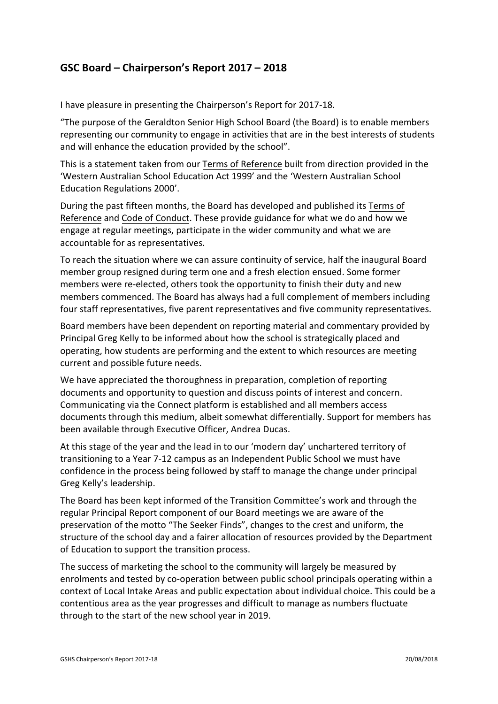## **GSC Board – Chairperson's Report 2017 – 2018**

I have pleasure in presenting the Chairperson's Report for 2017-18.

"The purpose of the Geraldton Senior High School Board (the Board) is to enable members representing our community to engage in activities that are in the best interests of students and will enhance the education provided by the school".

This is a statement taken from our Terms of Reference built from direction provided in the 'Western Australian School Education Act 1999' and the 'Western Australian School Education Regulations 2000'.

During the past fifteen months, the Board has developed and published its Terms of Reference and Code of Conduct. These provide guidance for what we do and how we engage at regular meetings, participate in the wider community and what we are accountable for as representatives.

To reach the situation where we can assure continuity of service, half the inaugural Board member group resigned during term one and a fresh election ensued. Some former members were re-elected, others took the opportunity to finish their duty and new members commenced. The Board has always had a full complement of members including four staff representatives, five parent representatives and five community representatives.

Board members have been dependent on reporting material and commentary provided by Principal Greg Kelly to be informed about how the school is strategically placed and operating, how students are performing and the extent to which resources are meeting current and possible future needs.

We have appreciated the thoroughness in preparation, completion of reporting documents and opportunity to question and discuss points of interest and concern. Communicating via the Connect platform is established and all members access documents through this medium, albeit somewhat differentially. Support for members has been available through Executive Officer, Andrea Ducas.

At this stage of the year and the lead in to our 'modern day' unchartered territory of transitioning to a Year 7-12 campus as an Independent Public School we must have confidence in the process being followed by staff to manage the change under principal Greg Kelly's leadership.

The Board has been kept informed of the Transition Committee's work and through the regular Principal Report component of our Board meetings we are aware of the preservation of the motto "The Seeker Finds", changes to the crest and uniform, the structure of the school day and a fairer allocation of resources provided by the Department of Education to support the transition process.

The success of marketing the school to the community will largely be measured by enrolments and tested by co-operation between public school principals operating within a context of Local Intake Areas and public expectation about individual choice. This could be a contentious area as the year progresses and difficult to manage as numbers fluctuate through to the start of the new school year in 2019.